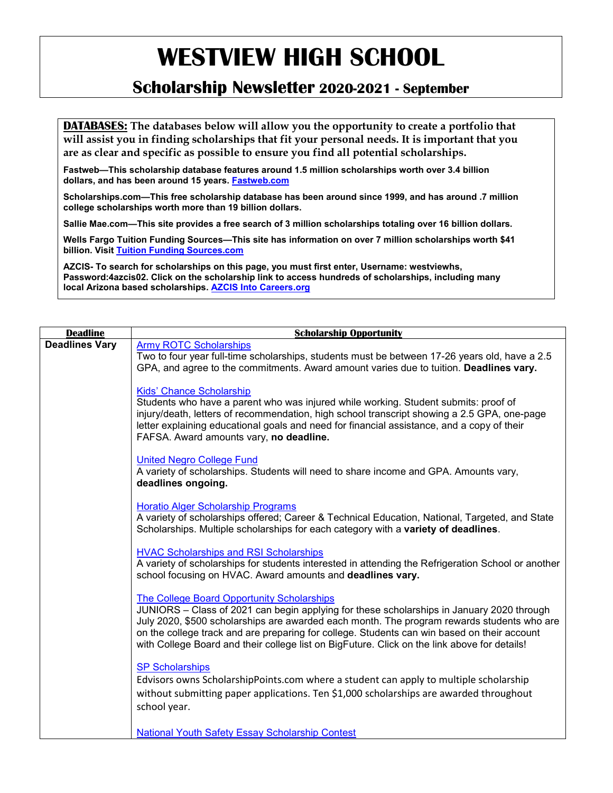### **Scholarship Newsletter 2020-2021 - September**

**DATABASES: The databases below will allow you the opportunity to create a portfolio that will assist you in finding scholarships that fit your personal needs. It is important that you are as clear and specific as possible to ensure you find all potential scholarships.**

**Fastweb—This scholarship database features around 1.5 million scholarships worth over 3.4 billion dollars, and has been around 15 years. [Fastweb.com](http://www.fastweb.com/)**

**Scholarships.com—This free scholarship database has been around since 1999, and has around .7 million college scholarships worth more than 19 billion dollars.**

**Sallie Mae.com—This site provides a free search of 3 million scholarships totaling over 16 billion dollars.**

**Wells Fargo Tuition Funding Sources—This site has information on over 7 million scholarships worth \$41 billion. Visit [Tuition Funding Sources.com](http://www.tuitionfundingsources.com/)**

**AZCIS- To search for scholarships on this page, you must first enter, Username: westviewhs, Password:4azcis02. Click on the scholarship link to access hundreds of scholarships, including many local Arizona based scholarships. [AZCIS Into Careers.org](http://www.azcis.intocareers.org/)**

| <b>Deadline</b>       | <b>Scholarship Opportunity</b>                                                                                                                                                                                                                                                                                                                                                                                                              |
|-----------------------|---------------------------------------------------------------------------------------------------------------------------------------------------------------------------------------------------------------------------------------------------------------------------------------------------------------------------------------------------------------------------------------------------------------------------------------------|
| <b>Deadlines Vary</b> | <b>Army ROTC Scholarships</b>                                                                                                                                                                                                                                                                                                                                                                                                               |
|                       | Two to four year full-time scholarships, students must be between 17-26 years old, have a 2.5<br>GPA, and agree to the commitments. Award amount varies due to tuition. Deadlines vary.                                                                                                                                                                                                                                                     |
|                       | <b>Kids' Chance Scholarship</b><br>Students who have a parent who was injured while working. Student submits: proof of<br>injury/death, letters of recommendation, high school transcript showing a 2.5 GPA, one-page<br>letter explaining educational goals and need for financial assistance, and a copy of their<br>FAFSA. Award amounts vary, no deadline.                                                                              |
|                       | <b>United Negro College Fund</b><br>A variety of scholarships. Students will need to share income and GPA. Amounts vary,<br>deadlines ongoing.                                                                                                                                                                                                                                                                                              |
|                       | <b>Horatio Alger Scholarship Programs</b><br>A variety of scholarships offered; Career & Technical Education, National, Targeted, and State<br>Scholarships. Multiple scholarships for each category with a variety of deadlines.                                                                                                                                                                                                           |
|                       | <b>HVAC Scholarships and RSI Scholarships</b><br>A variety of scholarships for students interested in attending the Refrigeration School or another<br>school focusing on HVAC. Award amounts and deadlines vary.                                                                                                                                                                                                                           |
|                       | <b>The College Board Opportunity Scholarships</b><br>JUNIORS - Class of 2021 can begin applying for these scholarships in January 2020 through<br>July 2020, \$500 scholarships are awarded each month. The program rewards students who are<br>on the college track and are preparing for college. Students can win based on their account<br>with College Board and their college list on BigFuture. Click on the link above for details! |
|                       | <b>SP Scholarships</b><br>Edvisors owns ScholarshipPoints.com where a student can apply to multiple scholarship<br>without submitting paper applications. Ten \$1,000 scholarships are awarded throughout<br>school year.                                                                                                                                                                                                                   |
|                       | <b>National Youth Safety Essay Scholarship Contest</b>                                                                                                                                                                                                                                                                                                                                                                                      |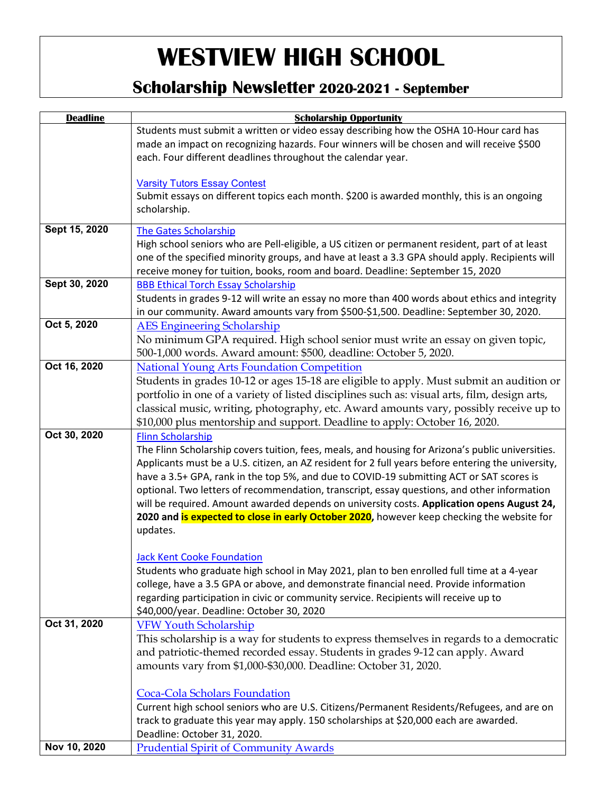### **Scholarship Newsletter 2020-2021 - September**

| <b>Deadline</b> | <b>Scholarship Opportunity</b>                                                                                                                                                           |
|-----------------|------------------------------------------------------------------------------------------------------------------------------------------------------------------------------------------|
|                 | Students must submit a written or video essay describing how the OSHA 10-Hour card has                                                                                                   |
|                 | made an impact on recognizing hazards. Four winners will be chosen and will receive \$500                                                                                                |
|                 | each. Four different deadlines throughout the calendar year.                                                                                                                             |
|                 | <b>Varsity Tutors Essay Contest</b>                                                                                                                                                      |
|                 | Submit essays on different topics each month. \$200 is awarded monthly, this is an ongoing                                                                                               |
|                 | scholarship.                                                                                                                                                                             |
| Sept 15, 2020   | The Gates Scholarship                                                                                                                                                                    |
|                 | High school seniors who are Pell-eligible, a US citizen or permanent resident, part of at least                                                                                          |
|                 | one of the specified minority groups, and have at least a 3.3 GPA should apply. Recipients will                                                                                          |
|                 | receive money for tuition, books, room and board. Deadline: September 15, 2020                                                                                                           |
| Sept 30, 2020   | <b>BBB Ethical Torch Essay Scholarship</b>                                                                                                                                               |
|                 | Students in grades 9-12 will write an essay no more than 400 words about ethics and integrity                                                                                            |
|                 | in our community. Award amounts vary from \$500-\$1,500. Deadline: September 30, 2020.                                                                                                   |
| Oct 5, 2020     | <b>AES Engineering Scholarship</b>                                                                                                                                                       |
|                 | No minimum GPA required. High school senior must write an essay on given topic,                                                                                                          |
| Oct 16, 2020    | 500-1,000 words. Award amount: \$500, deadline: October 5, 2020.                                                                                                                         |
|                 | <b>National Young Arts Foundation Competition</b>                                                                                                                                        |
|                 | Students in grades 10-12 or ages 15-18 are eligible to apply. Must submit an audition or<br>portfolio in one of a variety of listed disciplines such as: visual arts, film, design arts, |
|                 | classical music, writing, photography, etc. Award amounts vary, possibly receive up to                                                                                                   |
|                 | \$10,000 plus mentorship and support. Deadline to apply: October 16, 2020.                                                                                                               |
| Oct 30, 2020    | <b>Flinn Scholarship</b>                                                                                                                                                                 |
|                 | The Flinn Scholarship covers tuition, fees, meals, and housing for Arizona's public universities.                                                                                        |
|                 | Applicants must be a U.S. citizen, an AZ resident for 2 full years before entering the university,                                                                                       |
|                 | have a 3.5+ GPA, rank in the top 5%, and due to COVID-19 submitting ACT or SAT scores is                                                                                                 |
|                 | optional. Two letters of recommendation, transcript, essay questions, and other information                                                                                              |
|                 | will be required. Amount awarded depends on university costs. Application opens August 24,                                                                                               |
|                 | 2020 and is expected to close in early October 2020, however keep checking the website for                                                                                               |
|                 | updates.                                                                                                                                                                                 |
|                 | <b>Jack Kent Cooke Foundation</b>                                                                                                                                                        |
|                 | Students who graduate high school in May 2021, plan to ben enrolled full time at a 4-year                                                                                                |
|                 | college, have a 3.5 GPA or above, and demonstrate financial need. Provide information                                                                                                    |
|                 | regarding participation in civic or community service. Recipients will receive up to                                                                                                     |
|                 | \$40,000/year. Deadline: October 30, 2020                                                                                                                                                |
| Oct 31, 2020    | <b>VFW Youth Scholarship</b>                                                                                                                                                             |
|                 | This scholarship is a way for students to express themselves in regards to a democratic                                                                                                  |
|                 | and patriotic-themed recorded essay. Students in grades 9-12 can apply. Award                                                                                                            |
|                 | amounts vary from \$1,000-\$30,000. Deadline: October 31, 2020.                                                                                                                          |
|                 | Coca-Cola Scholars Foundation                                                                                                                                                            |
|                 | Current high school seniors who are U.S. Citizens/Permanent Residents/Refugees, and are on                                                                                               |
|                 | track to graduate this year may apply. 150 scholarships at \$20,000 each are awarded.                                                                                                    |
|                 | Deadline: October 31, 2020.                                                                                                                                                              |
| Nov 10, 2020    | <b>Prudential Spirit of Community Awards</b>                                                                                                                                             |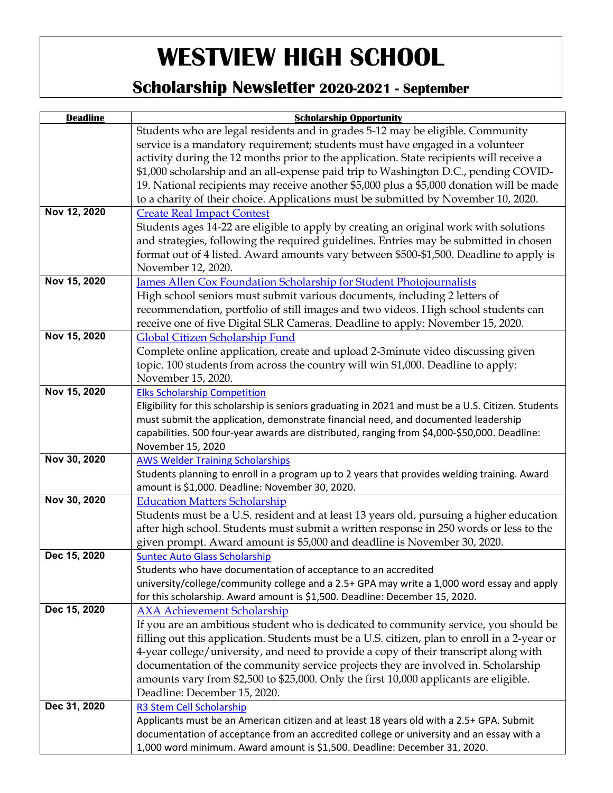### **Scholarship Newsletter 2020-2021 - September**

| <b>Deadline</b> | <b>Scholarship Opportunity</b>                                                                      |
|-----------------|-----------------------------------------------------------------------------------------------------|
|                 | Students who are legal residents and in grades 5-12 may be eligible. Community                      |
|                 | service is a mandatory requirement; students must have engaged in a volunteer                       |
|                 | activity during the 12 months prior to the application. State recipients will receive a             |
|                 | \$1,000 scholarship and an all-expense paid trip to Washington D.C., pending COVID-                 |
|                 | 19. National recipients may receive another \$5,000 plus a \$5,000 donation will be made            |
|                 | to a charity of their choice. Applications must be submitted by November 10, 2020.                  |
| Nov 12, 2020    | <b>Create Real Impact Contest</b>                                                                   |
|                 | Students ages 14-22 are eligible to apply by creating an original work with solutions               |
|                 | and strategies, following the required guidelines. Entries may be submitted in chosen               |
|                 | format out of 4 listed. Award amounts vary between \$500-\$1,500. Deadline to apply is              |
|                 | November 12, 2020.                                                                                  |
| Nov 15, 2020    | James Allen Cox Foundation Scholarship for Student Photojournalists                                 |
|                 | High school seniors must submit various documents, including 2 letters of                           |
|                 | recommendation, portfolio of still images and two videos. High school students can                  |
|                 | receive one of five Digital SLR Cameras. Deadline to apply: November 15, 2020.                      |
| Nov 15, 2020    | Global Citizen Scholarship Fund                                                                     |
|                 | Complete online application, create and upload 2-3minute video discussing given                     |
|                 | topic. 100 students from across the country will win \$1,000. Deadline to apply:                    |
|                 | November 15, 2020.                                                                                  |
| Nov 15, 2020    | <b>Elks Scholarship Competition</b>                                                                 |
|                 | Eligibility for this scholarship is seniors graduating in 2021 and must be a U.S. Citizen. Students |
|                 | must submit the application, demonstrate financial need, and documented leadership                  |
|                 | capabilities. 500 four-year awards are distributed, ranging from \$4,000-\$50,000. Deadline:        |
|                 | November 15, 2020                                                                                   |
| Nov 30, 2020    | <b>AWS Welder Training Scholarships</b>                                                             |
|                 | Students planning to enroll in a program up to 2 years that provides welding training. Award        |
|                 | amount is \$1,000. Deadline: November 30, 2020.                                                     |
| Nov 30, 2020    | <b>Education Matters Scholarship</b>                                                                |
|                 | Students must be a U.S. resident and at least 13 years old, pursuing a higher education             |
|                 | after high school. Students must submit a written response in 250 words or less to the              |
|                 | given prompt. Award amount is \$5,000 and deadline is November 30, 2020.                            |
| Dec 15, 2020    | <b>Suntec Auto Glass Scholarship</b>                                                                |
|                 | Students who have documentation of acceptance to an accredited                                      |
|                 | university/college/community college and a 2.5+ GPA may write a 1,000 word essay and apply          |
|                 | for this scholarship. Award amount is \$1,500. Deadline: December 15, 2020.                         |
| Dec 15, 2020    | <b>AXA Achievement Scholarship</b>                                                                  |
|                 | If you are an ambitious student who is dedicated to community service, you should be                |
|                 | filling out this application. Students must be a U.S. citizen, plan to enroll in a 2-year or        |
|                 | 4-year college/university, and need to provide a copy of their transcript along with                |
|                 | documentation of the community service projects they are involved in. Scholarship                   |
|                 | amounts vary from \$2,500 to \$25,000. Only the first 10,000 applicants are eligible.               |
|                 | Deadline: December 15, 2020.                                                                        |
| Dec 31, 2020    | R3 Stem Cell Scholarship                                                                            |
|                 | Applicants must be an American citizen and at least 18 years old with a 2.5+ GPA. Submit            |
|                 | documentation of acceptance from an accredited college or university and an essay with a            |
|                 | 1,000 word minimum. Award amount is \$1,500. Deadline: December 31, 2020.                           |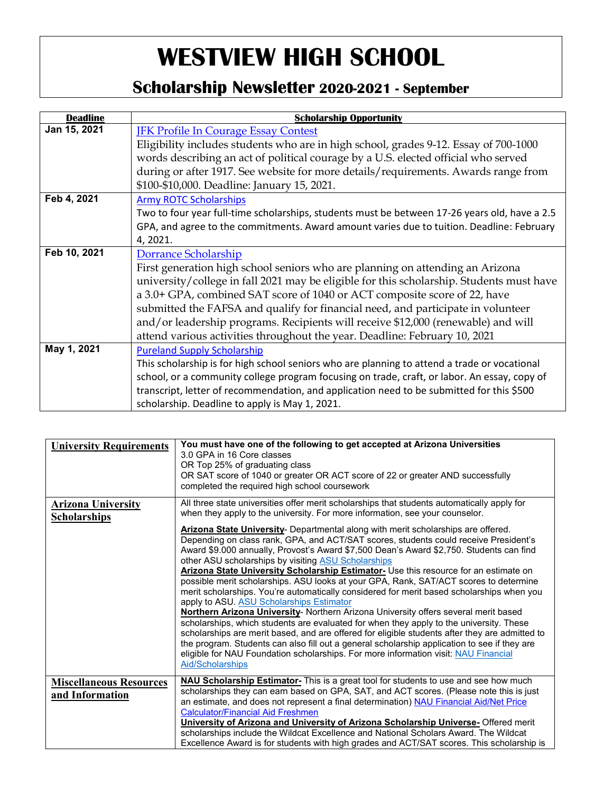### **Scholarship Newsletter 2020-2021 - September**

| <b>Deadline</b> | <b>Scholarship Opportunity</b>                                                                                                                                                                                                                                                                                                                                                                                                                                                                                                        |
|-----------------|---------------------------------------------------------------------------------------------------------------------------------------------------------------------------------------------------------------------------------------------------------------------------------------------------------------------------------------------------------------------------------------------------------------------------------------------------------------------------------------------------------------------------------------|
| Jan 15, 2021    | <b>IFK Profile In Courage Essay Contest</b><br>Eligibility includes students who are in high school, grades 9-12. Essay of 700-1000<br>words describing an act of political courage by a U.S. elected official who served<br>during or after 1917. See website for more details/requirements. Awards range from<br>\$100-\$10,000. Deadline: January 15, 2021.                                                                                                                                                                        |
| Feb 4, 2021     | <b>Army ROTC Scholarships</b><br>Two to four year full-time scholarships, students must be between 17-26 years old, have a 2.5<br>GPA, and agree to the commitments. Award amount varies due to tuition. Deadline: February<br>4, 2021.                                                                                                                                                                                                                                                                                               |
| Feb 10, 2021    | Dorrance Scholarship<br>First generation high school seniors who are planning on attending an Arizona<br>university/college in fall 2021 may be eligible for this scholarship. Students must have<br>a 3.0+ GPA, combined SAT score of 1040 or ACT composite score of 22, have<br>submitted the FAFSA and qualify for financial need, and participate in volunteer<br>and/or leadership programs. Recipients will receive \$12,000 (renewable) and will<br>attend various activities throughout the year. Deadline: February 10, 2021 |
| May 1, 2021     | <b>Pureland Supply Scholarship</b><br>This scholarship is for high school seniors who are planning to attend a trade or vocational<br>school, or a community college program focusing on trade, craft, or labor. An essay, copy of<br>transcript, letter of recommendation, and application need to be submitted for this \$500<br>scholarship. Deadline to apply is May 1, 2021.                                                                                                                                                     |

| <b>University Requirements</b>                    | You must have one of the following to get accepted at Arizona Universities<br>3.0 GPA in 16 Core classes<br>OR Top 25% of graduating class<br>OR SAT score of 1040 or greater OR ACT score of 22 or greater AND successfully<br>completed the required high school coursework                                                                                                                                                                                                                                                                                                                                                                                                                                                                                                                                                                                                                                                                                                                                                                                                                                                                        |
|---------------------------------------------------|------------------------------------------------------------------------------------------------------------------------------------------------------------------------------------------------------------------------------------------------------------------------------------------------------------------------------------------------------------------------------------------------------------------------------------------------------------------------------------------------------------------------------------------------------------------------------------------------------------------------------------------------------------------------------------------------------------------------------------------------------------------------------------------------------------------------------------------------------------------------------------------------------------------------------------------------------------------------------------------------------------------------------------------------------------------------------------------------------------------------------------------------------|
| <b>Arizona University</b><br><b>Scholarships</b>  | All three state universities offer merit scholarships that students automatically apply for<br>when they apply to the university. For more information, see your counselor.                                                                                                                                                                                                                                                                                                                                                                                                                                                                                                                                                                                                                                                                                                                                                                                                                                                                                                                                                                          |
|                                                   | Arizona State University- Departmental along with merit scholarships are offered.<br>Depending on class rank, GPA, and ACT/SAT scores, students could receive President's<br>Award \$9.000 annually, Provost's Award \$7,500 Dean's Award \$2,750. Students can find<br>other ASU scholarships by visiting ASU Scholarships<br>Arizona State University Scholarship Estimator- Use this resource for an estimate on<br>possible merit scholarships. ASU looks at your GPA, Rank, SAT/ACT scores to determine<br>merit scholarships. You're automatically considered for merit based scholarships when you<br>apply to ASU. ASU Scholarships Estimator<br>Northern Arizona University- Northern Arizona University offers several merit based<br>scholarships, which students are evaluated for when they apply to the university. These<br>scholarships are merit based, and are offered for eligible students after they are admitted to<br>the program. Students can also fill out a general scholarship application to see if they are<br>eligible for NAU Foundation scholarships. For more information visit: NAU Financial<br>Aid/Scholarships |
| <b>Miscellaneous Resources</b><br>and Information | <b>NAU Scholarship Estimator-</b> This is a great tool for students to use and see how much<br>scholarships they can earn based on GPA, SAT, and ACT scores. (Please note this is just<br>an estimate, and does not represent a final determination) NAU Financial Aid/Net Price                                                                                                                                                                                                                                                                                                                                                                                                                                                                                                                                                                                                                                                                                                                                                                                                                                                                     |
|                                                   | <b>Calculator/Financial Aid Freshmen</b><br><b>University of Arizona and University of Arizona Scholarship Universe-</b> Offered merit<br>scholarships include the Wildcat Excellence and National Scholars Award. The Wildcat<br>Excellence Award is for students with high grades and ACT/SAT scores. This scholarship is                                                                                                                                                                                                                                                                                                                                                                                                                                                                                                                                                                                                                                                                                                                                                                                                                          |